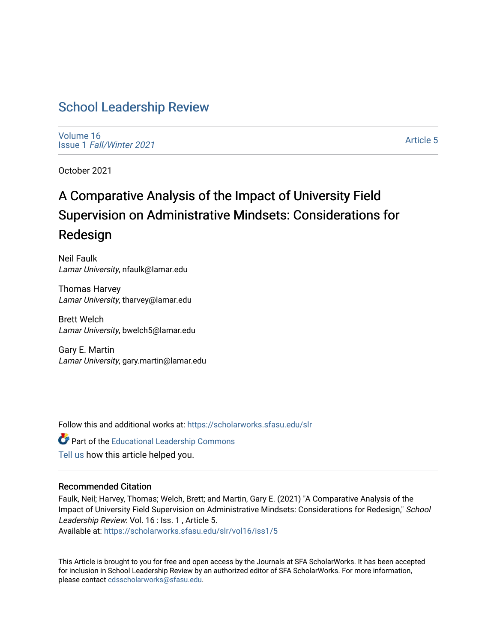# [School Leadership Review](https://scholarworks.sfasu.edu/slr)

[Volume 16](https://scholarworks.sfasu.edu/slr/vol16) Issue 1 [Fall/Winter 2021](https://scholarworks.sfasu.edu/slr/vol16/iss1) 

[Article 5](https://scholarworks.sfasu.edu/slr/vol16/iss1/5) 

October 2021

# A Comparative Analysis of the Impact of University Field Supervision on Administrative Mindsets: Considerations for Redesign

Neil Faulk Lamar University, nfaulk@lamar.edu

Thomas Harvey Lamar University, tharvey@lamar.edu

Brett Welch Lamar University, bwelch5@lamar.edu

Gary E. Martin Lamar University, gary.martin@lamar.edu

Follow this and additional works at: [https://scholarworks.sfasu.edu/slr](https://scholarworks.sfasu.edu/slr?utm_source=scholarworks.sfasu.edu%2Fslr%2Fvol16%2Fiss1%2F5&utm_medium=PDF&utm_campaign=PDFCoverPages) 

**C** Part of the Educational Leadership Commons [Tell us](http://sfasu.qualtrics.com/SE/?SID=SV_0qS6tdXftDLradv) how this article helped you.

#### Recommended Citation

Faulk, Neil; Harvey, Thomas; Welch, Brett; and Martin, Gary E. (2021) "A Comparative Analysis of the Impact of University Field Supervision on Administrative Mindsets: Considerations for Redesign," School Leadership Review: Vol. 16 : Iss. 1 , Article 5.

Available at: [https://scholarworks.sfasu.edu/slr/vol16/iss1/5](https://scholarworks.sfasu.edu/slr/vol16/iss1/5?utm_source=scholarworks.sfasu.edu%2Fslr%2Fvol16%2Fiss1%2F5&utm_medium=PDF&utm_campaign=PDFCoverPages)

This Article is brought to you for free and open access by the Journals at SFA ScholarWorks. It has been accepted for inclusion in School Leadership Review by an authorized editor of SFA ScholarWorks. For more information, please contact [cdsscholarworks@sfasu.edu.](mailto:cdsscholarworks@sfasu.edu)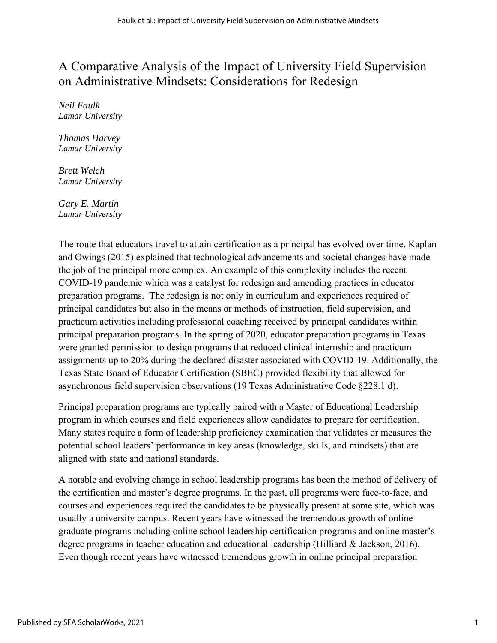# A Comparative Analysis of the Impact of University Field Supervision on Administrative Mindsets: Considerations for Redesign

*Neil Faulk Lamar University*

*Thomas Harvey Lamar University*

*Brett Welch Lamar University*

*Gary E. Martin Lamar University*

The route that educators travel to attain certification as a principal has evolved over time. Kaplan and Owings (2015) explained that technological advancements and societal changes have made the job of the principal more complex. An example of this complexity includes the recent COVID-19 pandemic which was a catalyst for redesign and amending practices in educator preparation programs. The redesign is not only in curriculum and experiences required of principal candidates but also in the means or methods of instruction, field supervision, and practicum activities including professional coaching received by principal candidates within principal preparation programs. In the spring of 2020, educator preparation programs in Texas were granted permission to design programs that reduced clinical internship and practicum assignments up to 20% during the declared disaster associated with COVID-19. Additionally, the Texas State Board of Educator Certification (SBEC) provided flexibility that allowed for asynchronous field supervision observations (19 Texas Administrative Code §228.1 d).

Principal preparation programs are typically paired with a Master of Educational Leadership program in which courses and field experiences allow candidates to prepare for certification. Many states require a form of leadership proficiency examination that validates or measures the potential school leaders' performance in key areas (knowledge, skills, and mindsets) that are aligned with state and national standards.

A notable and evolving change in school leadership programs has been the method of delivery of the certification and master's degree programs. In the past, all programs were face-to-face, and courses and experiences required the candidates to be physically present at some site, which was usually a university campus. Recent years have witnessed the tremendous growth of online graduate programs including online school leadership certification programs and online master's degree programs in teacher education and educational leadership (Hilliard & Jackson, 2016). Even though recent years have witnessed tremendous growth in online principal preparation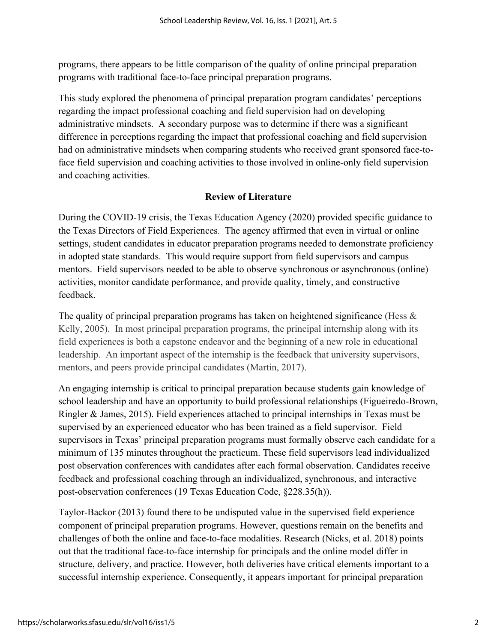programs, there appears to be little comparison of the quality of online principal preparation programs with traditional face-to-face principal preparation programs.

This study explored the phenomena of principal preparation program candidates' perceptions regarding the impact professional coaching and field supervision had on developing administrative mindsets. A secondary purpose was to determine if there was a significant difference in perceptions regarding the impact that professional coaching and field supervision had on administrative mindsets when comparing students who received grant sponsored face-toface field supervision and coaching activities to those involved in online-only field supervision and coaching activities.

# **Review of Literature**

During the COVID-19 crisis, the Texas Education Agency (2020) provided specific guidance to the Texas Directors of Field Experiences. The agency affirmed that even in virtual or online settings, student candidates in educator preparation programs needed to demonstrate proficiency in adopted state standards. This would require support from field supervisors and campus mentors. Field supervisors needed to be able to observe synchronous or asynchronous (online) activities, monitor candidate performance, and provide quality, timely, and constructive feedback.

The quality of principal preparation programs has taken on heightened significance (Hess & Kelly, 2005). In most principal preparation programs, the principal internship along with its field experiences is both a capstone endeavor and the beginning of a new role in educational leadership. An important aspect of the internship is the feedback that university supervisors, mentors, and peers provide principal candidates (Martin, 2017).

An engaging internship is critical to principal preparation because students gain knowledge of school leadership and have an opportunity to build professional relationships (Figueiredo-Brown, Ringler & James, 2015). Field experiences attached to principal internships in Texas must be supervised by an experienced educator who has been trained as a field supervisor. Field supervisors in Texas' principal preparation programs must formally observe each candidate for a minimum of 135 minutes throughout the practicum. These field supervisors lead individualized post observation conferences with candidates after each formal observation. Candidates receive feedback and professional coaching through an individualized, synchronous, and interactive post-observation conferences (19 Texas Education Code, §228.35(h)).

Taylor-Backor (2013) found there to be undisputed value in the supervised field experience component of principal preparation programs. However, questions remain on the benefits and challenges of both the online and face-to-face modalities. Research (Nicks, et al. 2018) points out that the traditional face-to-face internship for principals and the online model differ in structure, delivery, and practice. However, both deliveries have critical elements important to a successful internship experience. Consequently, it appears important for principal preparation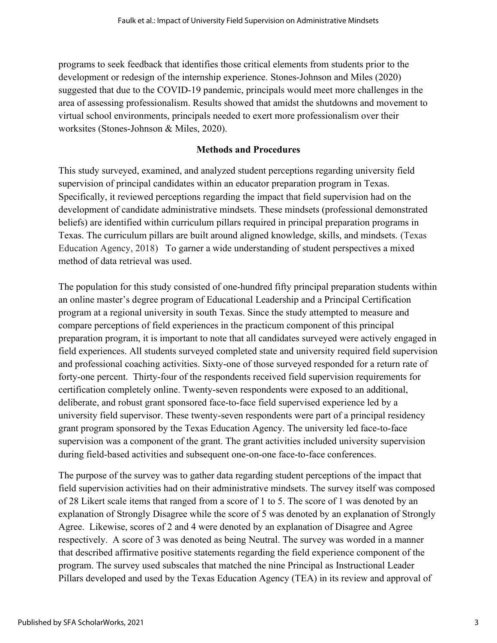programs to seek feedback that identifies those critical elements from students prior to the development or redesign of the internship experience. Stones-Johnson and Miles (2020) suggested that due to the COVID-19 pandemic, principals would meet more challenges in the area of assessing professionalism. Results showed that amidst the shutdowns and movement to virtual school environments, principals needed to exert more professionalism over their worksites (Stones-Johnson & Miles, 2020).

#### **Methods and Procedures**

This study surveyed, examined, and analyzed student perceptions regarding university field supervision of principal candidates within an educator preparation program in Texas. Specifically, it reviewed perceptions regarding the impact that field supervision had on the development of candidate administrative mindsets. These mindsets (professional demonstrated beliefs) are identified within curriculum pillars required in principal preparation programs in Texas. The curriculum pillars are built around aligned knowledge, skills, and mindsets. (Texas Education Agency, 2018) To garner a wide understanding of student perspectives a mixed method of data retrieval was used.

The population for this study consisted of one-hundred fifty principal preparation students within an online master's degree program of Educational Leadership and a Principal Certification program at a regional university in south Texas. Since the study attempted to measure and compare perceptions of field experiences in the practicum component of this principal preparation program, it is important to note that all candidates surveyed were actively engaged in field experiences. All students surveyed completed state and university required field supervision and professional coaching activities. Sixty-one of those surveyed responded for a return rate of forty-one percent. Thirty-four of the respondents received field supervision requirements for certification completely online. Twenty-seven respondents were exposed to an additional, deliberate, and robust grant sponsored face-to-face field supervised experience led by a university field supervisor. These twenty-seven respondents were part of a principal residency grant program sponsored by the Texas Education Agency. The university led face-to-face supervision was a component of the grant. The grant activities included university supervision during field-based activities and subsequent one-on-one face-to-face conferences.

The purpose of the survey was to gather data regarding student perceptions of the impact that field supervision activities had on their administrative mindsets. The survey itself was composed of 28 Likert scale items that ranged from a score of 1 to 5. The score of 1 was denoted by an explanation of Strongly Disagree while the score of 5 was denoted by an explanation of Strongly Agree. Likewise, scores of 2 and 4 were denoted by an explanation of Disagree and Agree respectively. A score of 3 was denoted as being Neutral. The survey was worded in a manner that described affirmative positive statements regarding the field experience component of the program. The survey used subscales that matched the nine Principal as Instructional Leader Pillars developed and used by the Texas Education Agency (TEA) in its review and approval of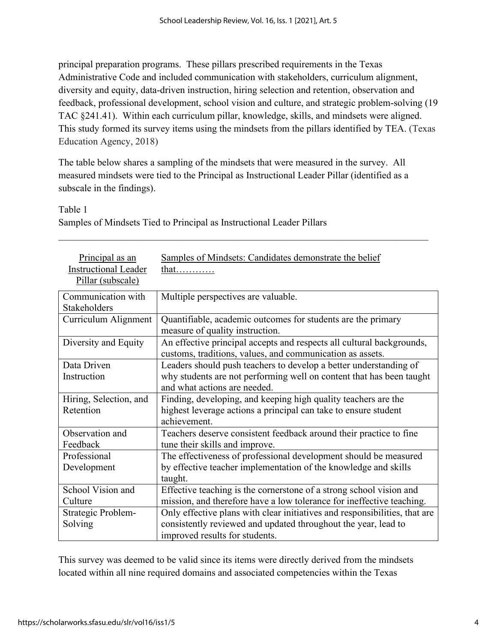principal preparation programs. These pillars prescribed requirements in the Texas Administrative Code and included communication with stakeholders, curriculum alignment, diversity and equity, data-driven instruction, hiring selection and retention, observation and feedback, professional development, school vision and culture, and strategic problem-solving (19 TAC §241.41). Within each curriculum pillar, knowledge, skills, and mindsets were aligned. This study formed its survey items using the mindsets from the pillars identified by TEA. (Texas Education Agency, 2018)

The table below shares a sampling of the mindsets that were measured in the survey. All measured mindsets were tied to the Principal as Instructional Leader Pillar (identified as a subscale in the findings).

#### Table 1

Samples of Mindsets Tied to Principal as Instructional Leader Pillars \_\_\_\_\_\_\_\_\_\_\_\_\_\_\_\_\_\_\_\_\_\_\_\_\_\_\_\_\_\_\_\_\_\_\_\_\_\_\_\_\_\_\_\_\_\_\_\_\_\_\_\_\_\_\_\_\_\_\_\_\_\_\_\_\_\_\_\_\_\_\_\_\_\_\_\_

| Principal as an             | Samples of Mindsets: Candidates demonstrate the belief                     |
|-----------------------------|----------------------------------------------------------------------------|
| <b>Instructional Leader</b> | that                                                                       |
| Pillar (subscale)           |                                                                            |
| Communication with          |                                                                            |
|                             | Multiple perspectives are valuable.                                        |
| Stakeholders                |                                                                            |
| Curriculum Alignment        | Quantifiable, academic outcomes for students are the primary               |
|                             | measure of quality instruction.                                            |
| Diversity and Equity        | An effective principal accepts and respects all cultural backgrounds,      |
|                             | customs, traditions, values, and communication as assets.                  |
| Data Driven                 | Leaders should push teachers to develop a better understanding of          |
| Instruction                 | why students are not performing well on content that has been taught       |
|                             | and what actions are needed.                                               |
| Hiring, Selection, and      | Finding, developing, and keeping high quality teachers are the             |
| Retention                   | highest leverage actions a principal can take to ensure student            |
|                             | achievement.                                                               |
| Observation and             | Teachers deserve consistent feedback around their practice to fine         |
| Feedback                    | tune their skills and improve.                                             |
| Professional                | The effectiveness of professional development should be measured           |
| Development                 | by effective teacher implementation of the knowledge and skills            |
|                             | taught.                                                                    |
| School Vision and           | Effective teaching is the cornerstone of a strong school vision and        |
| Culture                     | mission, and therefore have a low tolerance for ineffective teaching.      |
| Strategic Problem-          | Only effective plans with clear initiatives and responsibilities, that are |
| Solving                     | consistently reviewed and updated throughout the year, lead to             |
|                             | improved results for students.                                             |

This survey was deemed to be valid since its items were directly derived from the mindsets located within all nine required domains and associated competencies within the Texas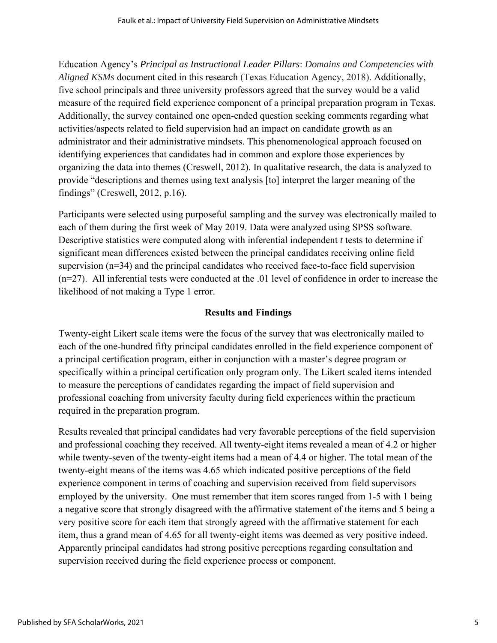Education Agency's *Principal as Instructional Leader Pillars*: *Domains and Competencies with Aligned KSMs* document cited in this research (Texas Education Agency, 2018). Additionally, five school principals and three university professors agreed that the survey would be a valid measure of the required field experience component of a principal preparation program in Texas. Additionally, the survey contained one open-ended question seeking comments regarding what activities/aspects related to field supervision had an impact on candidate growth as an administrator and their administrative mindsets. This phenomenological approach focused on identifying experiences that candidates had in common and explore those experiences by organizing the data into themes (Creswell, 2012). In qualitative research, the data is analyzed to provide "descriptions and themes using text analysis [to] interpret the larger meaning of the findings" (Creswell, 2012, p.16).

Participants were selected using purposeful sampling and the survey was electronically mailed to each of them during the first week of May 2019. Data were analyzed using SPSS software. Descriptive statistics were computed along with inferential independent *t* tests to determine if significant mean differences existed between the principal candidates receiving online field supervision (n=34) and the principal candidates who received face-to-face field supervision (n=27). All inferential tests were conducted at the .01 level of confidence in order to increase the likelihood of not making a Type 1 error.

### **Results and Findings**

Twenty-eight Likert scale items were the focus of the survey that was electronically mailed to each of the one-hundred fifty principal candidates enrolled in the field experience component of a principal certification program, either in conjunction with a master's degree program or specifically within a principal certification only program only. The Likert scaled items intended to measure the perceptions of candidates regarding the impact of field supervision and professional coaching from university faculty during field experiences within the practicum required in the preparation program.

Results revealed that principal candidates had very favorable perceptions of the field supervision and professional coaching they received. All twenty-eight items revealed a mean of 4.2 or higher while twenty-seven of the twenty-eight items had a mean of 4.4 or higher. The total mean of the twenty-eight means of the items was 4.65 which indicated positive perceptions of the field experience component in terms of coaching and supervision received from field supervisors employed by the university. One must remember that item scores ranged from 1-5 with 1 being a negative score that strongly disagreed with the affirmative statement of the items and 5 being a very positive score for each item that strongly agreed with the affirmative statement for each item, thus a grand mean of 4.65 for all twenty-eight items was deemed as very positive indeed. Apparently principal candidates had strong positive perceptions regarding consultation and supervision received during the field experience process or component.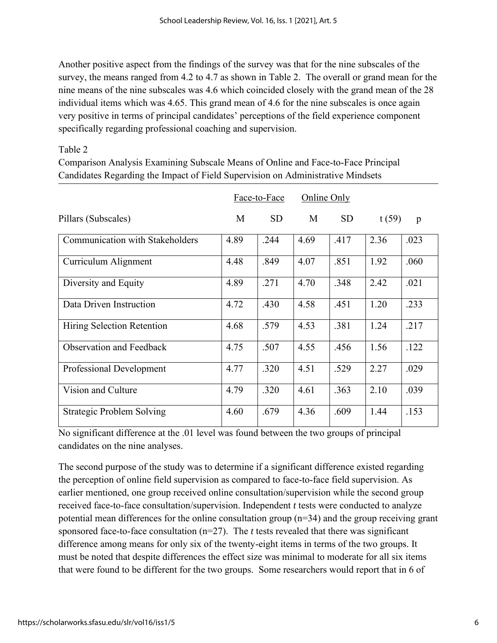Another positive aspect from the findings of the survey was that for the nine subscales of the survey, the means ranged from 4.2 to 4.7 as shown in Table 2. The overall or grand mean for the nine means of the nine subscales was 4.6 which coincided closely with the grand mean of the 28 individual items which was 4.65. This grand mean of 4.6 for the nine subscales is once again very positive in terms of principal candidates' perceptions of the field experience component specifically regarding professional coaching and supervision.

# Table 2

Comparison Analysis Examining Subscale Means of Online and Face-to-Face Principal Candidates Regarding the Impact of Field Supervision on Administrative Mindsets

|                                        | Face-to-Face |           | <b>Online Only</b> |           |       |              |
|----------------------------------------|--------------|-----------|--------------------|-----------|-------|--------------|
| Pillars (Subscales)                    | M            | <b>SD</b> | M                  | <b>SD</b> | t(59) | $\mathbf{p}$ |
| <b>Communication with Stakeholders</b> | 4.89         | .244      | 4.69               | .417      | 2.36  | .023         |
| Curriculum Alignment                   | 4.48         | .849      | 4.07               | .851      | 1.92  | .060         |
| Diversity and Equity                   | 4.89         | .271      | 4.70               | .348      | 2.42  | .021         |
| Data Driven Instruction                | 4.72         | .430      | 4.58               | .451      | 1.20  | .233         |
| Hiring Selection Retention             | 4.68         | .579      | 4.53               | .381      | 1.24  | .217         |
| <b>Observation and Feedback</b>        | 4.75         | .507      | 4.55               | .456      | 1.56  | .122         |
| Professional Development               | 4.77         | .320      | 4.51               | .529      | 2.27  | .029         |
| Vision and Culture                     | 4.79         | .320      | 4.61               | .363      | 2.10  | .039         |
| Strategic Problem Solving              | 4.60         | .679      | 4.36               | .609      | 1.44  | .153         |

No significant difference at the .01 level was found between the two groups of principal candidates on the nine analyses.

The second purpose of the study was to determine if a significant difference existed regarding the perception of online field supervision as compared to face-to-face field supervision. As earlier mentioned, one group received online consultation/supervision while the second group received face-to-face consultation/supervision. Independent *t* tests were conducted to analyze potential mean differences for the online consultation group (n=34) and the group receiving grant sponsored face-to-face consultation (n=27). The *t* tests revealed that there was significant difference among means for only six of the twenty-eight items in terms of the two groups. It must be noted that despite differences the effect size was minimal to moderate for all six items that were found to be different for the two groups. Some researchers would report that in 6 of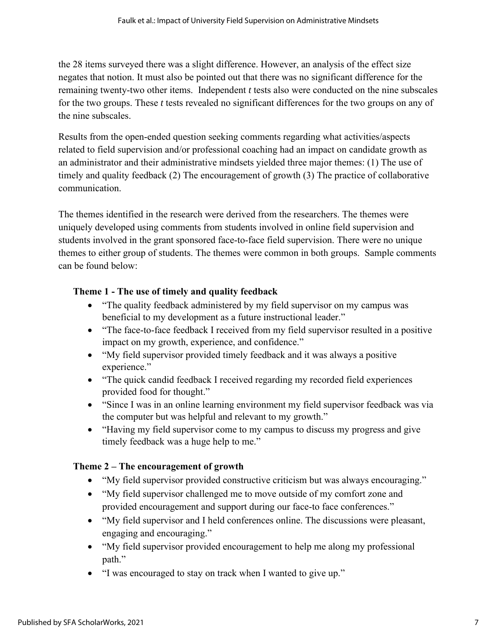the 28 items surveyed there was a slight difference. However, an analysis of the effect size negates that notion. It must also be pointed out that there was no significant difference for the remaining twenty-two other items. Independent *t* tests also were conducted on the nine subscales for the two groups. These *t* tests revealed no significant differences for the two groups on any of the nine subscales.

Results from the open-ended question seeking comments regarding what activities/aspects related to field supervision and/or professional coaching had an impact on candidate growth as an administrator and their administrative mindsets yielded three major themes: (1) The use of timely and quality feedback (2) The encouragement of growth (3) The practice of collaborative communication.

The themes identified in the research were derived from the researchers. The themes were uniquely developed using comments from students involved in online field supervision and students involved in the grant sponsored face-to-face field supervision. There were no unique themes to either group of students. The themes were common in both groups. Sample comments can be found below:

# **Theme 1 - The use of timely and quality feedback**

- "The quality feedback administered by my field supervisor on my campus was beneficial to my development as a future instructional leader."
- "The face-to-face feedback I received from my field supervisor resulted in a positive impact on my growth, experience, and confidence."
- "My field supervisor provided timely feedback and it was always a positive experience."
- "The quick candid feedback I received regarding my recorded field experiences provided food for thought."
- "Since I was in an online learning environment my field supervisor feedback was via the computer but was helpful and relevant to my growth."
- "Having my field supervisor come to my campus to discuss my progress and give timely feedback was a huge help to me."

# **Theme 2 – The encouragement of growth**

- "My field supervisor provided constructive criticism but was always encouraging."
- "My field supervisor challenged me to move outside of my comfort zone and provided encouragement and support during our face-to face conferences."
- "My field supervisor and I held conferences online. The discussions were pleasant, engaging and encouraging."
- "My field supervisor provided encouragement to help me along my professional path."
- "I was encouraged to stay on track when I wanted to give up."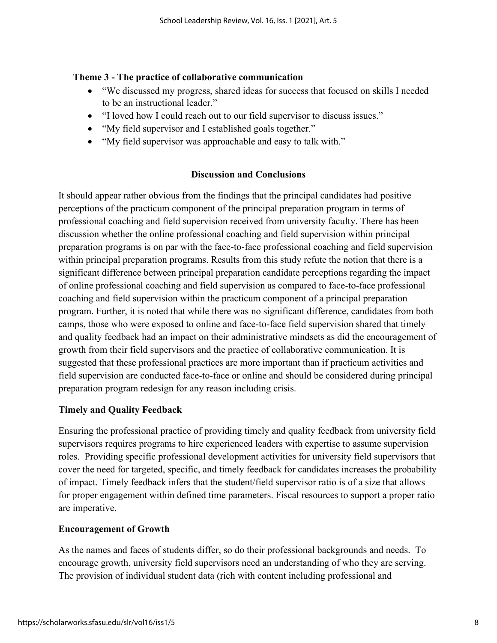#### **Theme 3 - The practice of collaborative communication**

- "We discussed my progress, shared ideas for success that focused on skills I needed to be an instructional leader."
- "I loved how I could reach out to our field supervisor to discuss issues."
- "My field supervisor and I established goals together."
- "My field supervisor was approachable and easy to talk with."

# **Discussion and Conclusions**

It should appear rather obvious from the findings that the principal candidates had positive perceptions of the practicum component of the principal preparation program in terms of professional coaching and field supervision received from university faculty. There has been discussion whether the online professional coaching and field supervision within principal preparation programs is on par with the face-to-face professional coaching and field supervision within principal preparation programs. Results from this study refute the notion that there is a significant difference between principal preparation candidate perceptions regarding the impact of online professional coaching and field supervision as compared to face-to-face professional coaching and field supervision within the practicum component of a principal preparation program. Further, it is noted that while there was no significant difference, candidates from both camps, those who were exposed to online and face-to-face field supervision shared that timely and quality feedback had an impact on their administrative mindsets as did the encouragement of growth from their field supervisors and the practice of collaborative communication. It is suggested that these professional practices are more important than if practicum activities and field supervision are conducted face-to-face or online and should be considered during principal preparation program redesign for any reason including crisis.

### **Timely and Quality Feedback**

Ensuring the professional practice of providing timely and quality feedback from university field supervisors requires programs to hire experienced leaders with expertise to assume supervision roles. Providing specific professional development activities for university field supervisors that cover the need for targeted, specific, and timely feedback for candidates increases the probability of impact. Timely feedback infers that the student/field supervisor ratio is of a size that allows for proper engagement within defined time parameters. Fiscal resources to support a proper ratio are imperative.

### **Encouragement of Growth**

As the names and faces of students differ, so do their professional backgrounds and needs. To encourage growth, university field supervisors need an understanding of who they are serving. The provision of individual student data (rich with content including professional and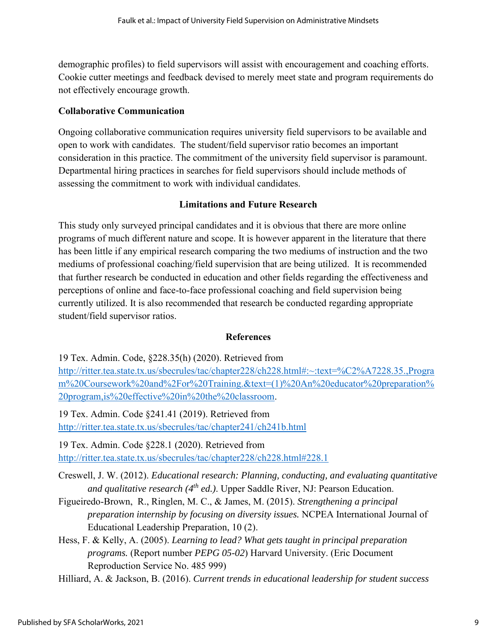demographic profiles) to field supervisors will assist with encouragement and coaching efforts. Cookie cutter meetings and feedback devised to merely meet state and program requirements do not effectively encourage growth.

# **Collaborative Communication**

Ongoing collaborative communication requires university field supervisors to be available and open to work with candidates. The student/field supervisor ratio becomes an important consideration in this practice. The commitment of the university field supervisor is paramount. Departmental hiring practices in searches for field supervisors should include methods of assessing the commitment to work with individual candidates.

# **Limitations and Future Research**

This study only surveyed principal candidates and it is obvious that there are more online programs of much different nature and scope. It is however apparent in the literature that there has been little if any empirical research comparing the two mediums of instruction and the two mediums of professional coaching/field supervision that are being utilized. It is recommended that further research be conducted in education and other fields regarding the effectiveness and perceptions of online and face-to-face professional coaching and field supervision being currently utilized. It is also recommended that research be conducted regarding appropriate student/field supervisor ratios.

### **References**

19 Tex. Admin. Code, §228.35(h) (2020). Retrieved from http://ritter.tea.state.tx.us/sbecrules/tac/chapter228/ch228.html#:~:text=%C2%A7228.35.,Progra m%20Coursework%20and%2For%20Training.&text=(1)%20An%20educator%20preparation% 20program,is%20effective%20in%20the%20classroom.

19 Tex. Admin. Code §241.41 (2019). Retrieved from http://ritter.tea.state.tx.us/sbecrules/tac/chapter241/ch241b.html

19 Tex. Admin. Code §228.1 (2020). Retrieved from http://ritter.tea.state.tx.us/sbecrules/tac/chapter228/ch228.html#228.1

Creswell, J. W. (2012). *Educational research: Planning, conducting, and evaluating quantitative and qualitative research (4th ed.)*. Upper Saddle River, NJ: Pearson Education.

Figueiredo-Brown, R., Ringlen, M. C., & James, M. (2015). *Strengthening a principal preparation internship by focusing on diversity issues.* NCPEA International Journal of Educational Leadership Preparation, 10 (2).

Hess, F. & Kelly, A. (2005). *Learning to lead? What gets taught in principal preparation programs.* (Report number *PEPG 05-02*) Harvard University. (Eric Document Reproduction Service No. 485 999)

Hilliard, A. & Jackson, B. (2016). *Current trends in educational leadership for student success*